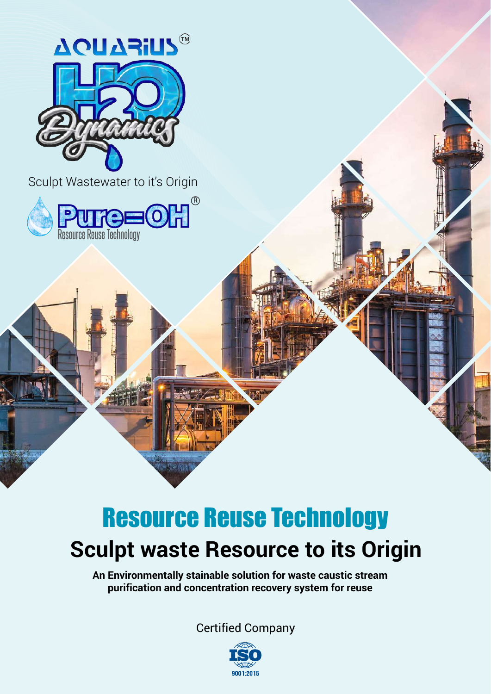

# **Sculpt waste Resource to its Origin** Resource Reuse Technology

**An Environmentally stainable solution for waste caustic stream purification and concentration recovery system for reuse**

Certified Company

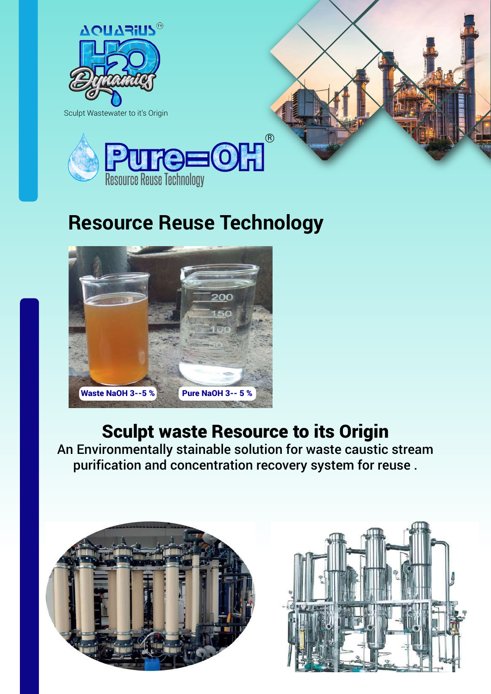

## **Resource Reuse Technology**



#### Sculpt waste Resource to its Origin

An Environmentally stainable solution for waste caustic stream purification and concentration recovery system for reuse .



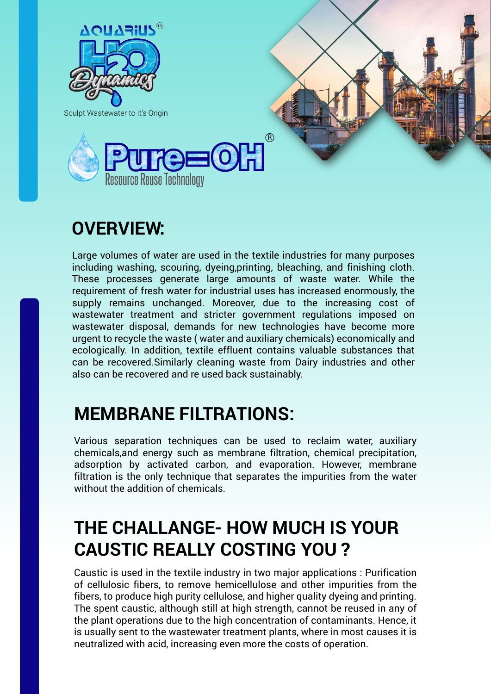

## **OVERVIEW:**

Large volumes of water are used in the textile industries for many purposes including washing, scouring, dyeing,printing, bleaching, and finishing cloth. These processes generate large amounts of waste water. While the requirement of fresh water for industrial uses has increased enormously, the supply remains unchanged. Moreover, due to the increasing cost of wastewater treatment and stricter government regulations imposed on wastewater disposal, demands for new technologies have become more urgent to recycle the waste ( water and auxiliary chemicals) economically and ecologically. In addition, textile effluent contains valuable substances that can be recovered.Similarly cleaning waste from Dairy industries and other also can be recovered and re used back sustainably.

#### **MEMBRANE FILTRATIONS:**

Various separation techniques can be used to reclaim water, auxiliary chemicals,and energy such as membrane filtration, chemical precipitation, adsorption by activated carbon, and evaporation. However, membrane filtration is the only technique that separates the impurities from the water without the addition of chemicals.

### **THE CHALLANGE- HOW MUCH IS YOUR CAUSTIC REALLY COSTING YOU ?**

Caustic is used in the textile industry in two major applications : Purification of cellulosic fibers, to remove hemicellulose and other impurities from the fibers, to produce high purity cellulose, and higher quality dyeing and printing. The spent caustic, although still at high strength, cannot be reused in any of the plant operations due to the high concentration of contaminants. Hence, it is usually sent to the wastewater treatment plants, where in most causes it is neutralized with acid, increasing even more the costs of operation.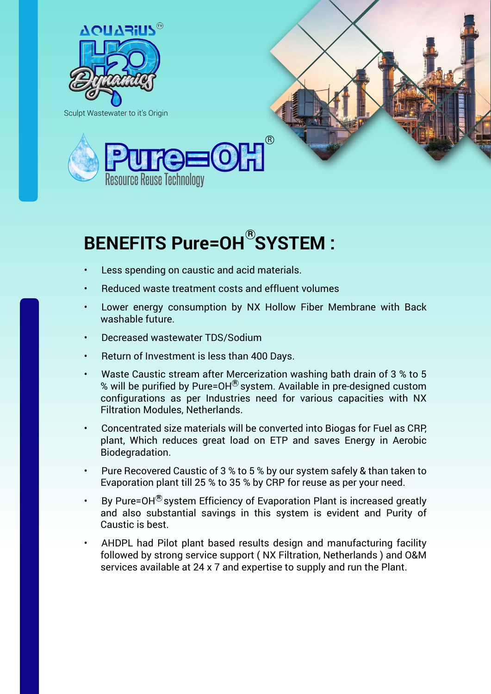

Sculpt Wastewater to it's Origin





## BENEFITS Pure=OH<sup>®</sup>SYSTEM :

- Less spending on caustic and acid materials.
- Reduced waste treatment costs and effluent volumes
- Lower energy consumption by NX Hollow Fiber Membrane with Back washable future.
- Decreased wastewater TDS/Sodium
- Return of Investment is less than 400 Days.
- Waste Caustic stream after Mercerization washing bath drain of 3 % to 5 % will be purified by Pure=OH<sup>®</sup> system. Available in pre-designed custom configurations as per Industries need for various capacities with NX Filtration Modules, Netherlands.
- Concentrated size materials will be converted into Biogas for Fuel as CRP, plant, Which reduces great load on ETP and saves Energy in Aerobic Biodegradation.
- Pure Recovered Caustic of 3 % to 5 % by our system safely & than taken to Evaporation plant till 25 % to 35 % by CRP for reuse as per your need.
- By Pure=OH $^{\circledR}$ system Efficiency of Evaporation Plant is increased greatly and also substantial savings in this system is evident and Purity of Caustic is best.
- AHDPL had Pilot plant based results design and manufacturing facility followed by strong service support ( NX Filtration, Netherlands ) and O&M services available at 24 x 7 and expertise to supply and run the Plant.